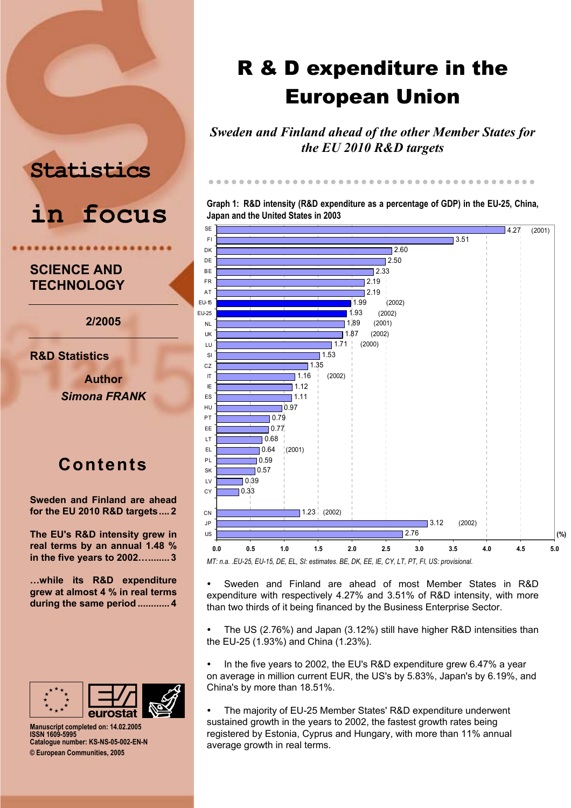# **Statistics**



# **SCIENCE AND TECHNOLOGY**

**2/2005** 

**R&D Statistics** 

**Author**  *Simona FRANK* 

# **Contents**

**[Sweden and Finland are ahead](#page-1-0)  [for the EU 2010 R&D targets....](#page-1-0) 2** 

**[The EU's R&D intensity grew](#page-2-0) in [real terms by an annual 1.48 %](#page-2-0) in the five [years to 2002…........](#page-2-0) 3** 

**[…while its R&D expenditure](#page-3-0)  grew [at almost 4 % in real terms](#page-3-0)  [during the same period](#page-3-0) ............ 4** 



**Manuscript completed on: 14. 02.2005 ISSN 1609-5995 Catalogue number: KS-NS-05-002-EN-N © European Communities, 2005** 

# R & D expenditure in the European Union

*Sweden and Finland ahead of the other Member States for the EU 2010 R&D targets* 

**Graph 1: R&D intensity (R&D expenditure as a percentage of GDP) in the EU-25, China, Japan and the United States in 2003** 

zzzzzz zzzzzzz zzzzzzz zzzzzzz zzzzzzz zzzzzzz z z



*MT: n.a. .EU-25, EU-15, DE, EL, SI: estimates. BE, DK, EE, IE, CY, LT, PT, FI, US: provisional.* 

• Sweden and Finland are ahead of most Member States in R&D expenditure with respectively 4.27% and 3.51% of R&D intensity, with more than two thirds of it being financed by the Business Enterprise Sector.

y The US (2.76%) and Japan (3.12%) still have higher R&D intensities than the EU-25 (1.93%) and China (1.23%).

• In the five years to 2002, the EU's R&D expenditure grew 6.47% a year on average in million current EUR, the US's by 5.83%, Japan's by 6.19%, and China's by more than 18.51%.<br>• The majority of ELL25 Mer

The majority of EU-25 Member States' R&D expenditure underwent sustained growth in the years to 2002, the fastest growth rates being registered by Estonia, Cyprus and Hungary, with more than 11% annual average growth in real terms.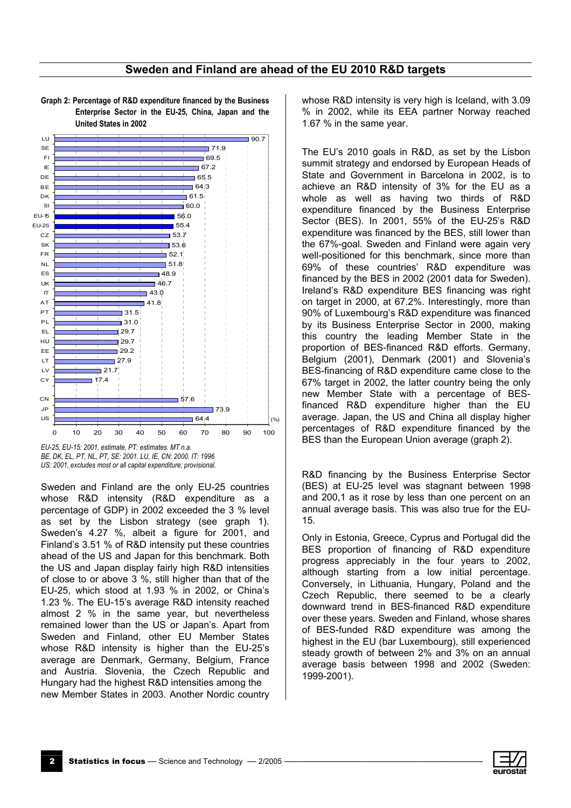## Sweden and Finland are ahead of the EU 2010 R&D targets



<span id="page-1-0"></span>Graph 2: Percentage of R&D expenditure financed by the Business Enterprise Sector in the EU-25, China, Japan and the **United States in 2002** 

EU-25, EU-15: 2001, estimate, PT: estimates. MT n.a. BE, DK, EL, PT, NL, PT, SE: 2001. LU. IE. CN: 2000. IT: 1996 US: 2001, excludes most or all capital expenditure; provisional.

Sweden and Finland are the only EU-25 countries whose R&D intensity (R&D expenditure as a percentage of GDP) in 2002 exceeded the 3 % level as set by the Lisbon strategy (see graph 1). Sweden's 4.27 %, albeit a figure for 2001, and Finland's 3.51 % of R&D intensity put these countries ahead of the US and Japan for this benchmark. Both the US and Japan display fairly high R&D intensities of close to or above 3 %, still higher than that of the EU-25, which stood at 1.93 % in 2002, or China's 1.23 %. The EU-15's average R&D intensity reached almost 2 % in the same year, but nevertheless remained lower than the US or Japan's. Apart from Sweden and Finland, other EU Member States whose R&D intensity is higher than the EU-25's average are Denmark, Germany, Belgium, France and Austria. Slovenia, the Czech Republic and Hungary had the highest R&D intensities among the new Member States in 2003. Another Nordic country

whose R&D intensity is very high is Iceland, with 3.09 % in 2002, while its EEA partner Norway reached 1.67 % in the same year.

The EU's 2010 goals in R&D, as set by the Lisbon summit strategy and endorsed by European Heads of State and Government in Barcelona in 2002, is to achieve an R&D intensity of 3% for the EU as a whole as well as having two thirds of R&D expenditure financed by the Business Enterprise Sector (BES). In 2001, 55% of the EU-25's R&D expenditure was financed by the BES, still lower than the 67%-goal. Sweden and Finland were again very well-positioned for this benchmark, since more than 69% of these countries' R&D expenditure was financed by the BES in 2002 (2001 data for Sweden). Ireland's R&D expenditure BES financing was right on target in 2000, at 67.2%. Interestingly, more than 90% of Luxembourg's R&D expenditure was financed by its Business Enterprise Sector in 2000, making this country the leading Member State in the proportion of BES-financed R&D efforts. Germany, Belgium (2001), Denmark (2001) and Slovenia's BES-financing of R&D expenditure came close to the 67% target in 2002, the latter country being the only new Member State with a percentage of BESfinanced R&D expenditure higher than the EU average. Japan, the US and China all display higher percentages of R&D expenditure financed by the BES than the European Union average (graph 2).

R&D financing by the Business Enterprise Sector (BES) at EU-25 level was stagnant between 1998 and 200,1 as it rose by less than one percent on an annual average basis. This was also true for the EU-15.

Only in Estonia, Greece, Cyprus and Portugal did the BES proportion of financing of R&D expenditure progress appreciably in the four years to 2002, although starting from a low initial percentage. Conversely, in Lithuania, Hungary, Poland and the Czech Republic, there seemed to be a clearly downward trend in BES-financed R&D expenditure over these years. Sweden and Finland, whose shares of BES-funded R&D expenditure was among the highest in the EU (bar Luxembourg), still experienced steady growth of between 2% and 3% on an annual average basis between 1998 and 2002 (Sweden: 1999-2001).

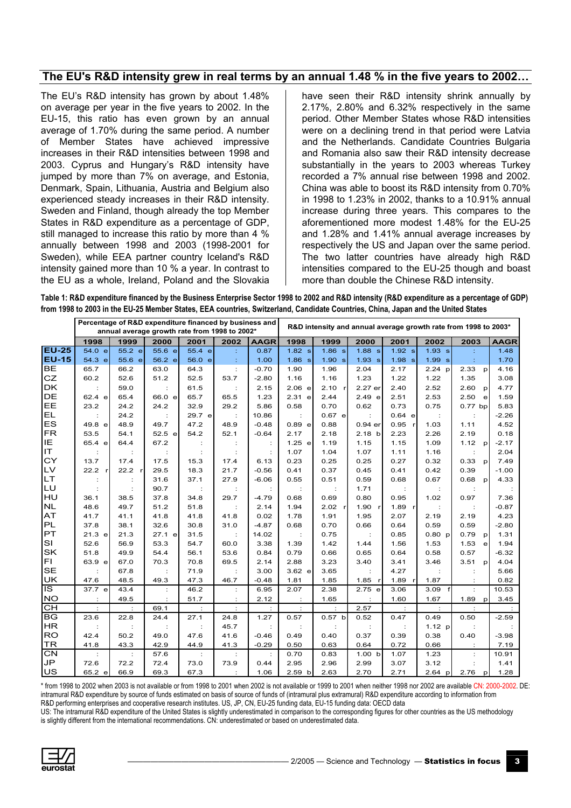## <span id="page-2-0"></span>The EU's R&D intensity grew in real terms by an annual 1.48 % in the five years to 2002...

The EU's R&D intensity has grown by about 1.48% on average per year in the five years to 2002. In the EU-15, this ratio has even grown by an annual average of 1.70% during the same period. A number of Member States have achieved impressive increases in their R&D intensities between 1998 and 2003. Cyprus and Hungary's R&D intensity have jumped by more than 7% on average, and Estonia, Denmark, Spain, Lithuania, Austria and Belgium also experienced steady increases in their R&D intensity. Sweden and Finland, though already the top Member States in R&D expenditure as a percentage of GDP, still managed to increase this ratio by more than 4 % annually between 1998 and 2003 (1998-2001 for Sweden), while EEA partner country Iceland's R&D intensity gained more than 10 % a year. In contrast to the EU as a whole, Ireland, Poland and the Slovakia have seen their R&D intensity shrink annually by 2.17%, 2.80% and 6.32% respectively in the same period. Other Member States whose R&D intensities were on a declining trend in that period were Latvia and the Netherlands. Candidate Countries Bulgaria and Romania also saw their R&D intensity decrease substantially in the years to 2003 whereas Turkey recorded a 7% annual rise between 1998 and 2002. China was able to boost its R&D intensity from 0.70% in 1998 to 1.23% in 2002, thanks to a 10.91% annual increase during three years. This compares to the aforementioned more modest 1.48% for the EU-25 and 1.28% and 1.41% annual average increases by respectively the US and Japan over the same period. The two latter countries have already high R&D intensities compared to the EU-25 though and boast more than double the Chinese R&D intensity.

Table 1: R&D expenditure financed by the Business Enterprise Sector 1998 to 2002 and R&D intensity (R&D expenditure as a percentage of GDP) from 1998 to 2003 in the EU-25 Member States, EEA countries, Switzerland, Candidate Countries, China, Japan and the United States

|              |        |        | Percentage of R&D expenditure financed by business and<br>annual average growth rate from 1998 to 2002* |         |      |             | R&D intensity and annual average growth rate from 1998 to 2003* |          |                   |        |          |                      |             |  |
|--------------|--------|--------|---------------------------------------------------------------------------------------------------------|---------|------|-------------|-----------------------------------------------------------------|----------|-------------------|--------|----------|----------------------|-------------|--|
|              | 1998   | 1999   | 2000                                                                                                    | 2001    | 2002 | <b>AAGR</b> | 1998                                                            | 1999     | 2000              | 2001   | 2002     | 2003                 | <b>AAGR</b> |  |
| $EU-25$      | 54.0 e | 55.2 e | 55.6 e                                                                                                  | 55.4 el | ÷    | 0.87        | $1.82$ s                                                        | 1.86 s   | $1.88$ s          | 1.92 s | 1.93 s   |                      | 1.48        |  |
| <b>EU-15</b> | 54.3 e | 55.6 e | 56.2 e                                                                                                  | 56.0 el | ÷    | 1.00        | 1.86 s                                                          | 1.90 s   | 1.93 s            | 1.98 s | 1.99 s   | ÷                    | 1.70        |  |
| <b>BE</b>    | 65.7   | 66.2   | 63.0                                                                                                    | 64.3    | ÷    | $-0.70$     | 1.90                                                            | 1.96     | 2.04              | 2.17   | $2.24$ p | 2.33<br>p            | 4.16        |  |
| <b>CZ</b>    | 60.2   | 52.6   | 51.2                                                                                                    | 52.5    | 53.7 | $-2.80$     | 1.16                                                            | 1.16     | 1.23              | 1.22   | 1.22     | 1.35                 | 3.08        |  |
| <b>DK</b>    |        | 59.0   |                                                                                                         | 61.5    |      | 2.15        | 2.06 e                                                          | 2.10     | 2.27 er           | 2.40   | 2.52     | 2.60<br>p            | 4.77        |  |
| <b>DE</b>    | 62.4 e | 65.4   | 66.0 e                                                                                                  | 65.7    | 65.5 | 1.23        | $2.31$ e                                                        | 2.44     | 2.49 e            | 2.51   | 2.53     | 2.50<br>$\mathbf{e}$ | 1.59        |  |
| EE           | 23.2   | 24.2   | 24.2                                                                                                    | 32.9    | 29.2 | 5.86        | 0.58                                                            | 0.70     | 0.62              | 0.73   | 0.75     | $0.77$ bp            | 5.83        |  |
| EL           |        | 24.2   |                                                                                                         | 29.7 e  |      | 10.86       |                                                                 | $0.67$ e |                   | 0.64 e |          |                      | $-2.26$     |  |
| ES           | 49.8 e | 48.9   | 49.7                                                                                                    | 47.2    | 48.9 | $-0.48$     | 0.89 e                                                          | 0.88     | $0.94$ er         | 0.95   | 1.03     | 1.11                 | 4.52        |  |
| FR           | 53.5   | 54.1   | 52.5 e                                                                                                  | 54.2    | 52.1 | $-0.64$     | 2.17                                                            | 2.18     | 2.18 b            | 2.23   | 2.26     | 2.19                 | 0.18        |  |
| IE           | 65.4 e | 64.4   | 67.2                                                                                                    |         |      |             | 1.25 e                                                          | 1.19     | 1.15              | 1.15   | 1.09     | 1.12<br>D            | $-2.17$     |  |
| IT.          |        |        |                                                                                                         |         |      |             | 1.07                                                            | 1.04     | 1.07              | 1.11   | 1.16     |                      | 2.04        |  |
| CY           | 13.7   | 17.4   | 17.5                                                                                                    | 15.3    | 17.4 | 6.13        | 0.23                                                            | 0.25     | 0.25              | 0.27   | 0.32     | 0.33<br>p            | 7.49        |  |
| LV           | 22.2   | 22.2 r | 29.5                                                                                                    | 18.3    | 21.7 | $-0.56$     | 0.41                                                            | 0.37     | 0.45              | 0.41   | 0.42     | 0.39                 | $-1.00$     |  |
| <b>LT</b>    |        |        | 31.6                                                                                                    | 37.1    | 27.9 | $-6.06$     | 0.55                                                            | 0.51     | 0.59              | 0.68   | 0.67     | 0.68<br>$\mathbf{D}$ | 4.33        |  |
| LU           |        |        | 90.7                                                                                                    |         |      |             |                                                                 |          | 1.71              |        |          |                      |             |  |
| HU           | 36.1   | 38.5   | 37.8                                                                                                    | 34.8    | 29.7 | $-4.79$     | 0.68                                                            | 0.69     | 0.80              | 0.95   | 1.02     | 0.97                 | 7.36        |  |
| <b>NL</b>    | 48.6   | 49.7   | 51.2                                                                                                    | 51.8    |      | 2.14        | 1.94                                                            | 2.02 r   | 1.90 r            | 1.89   |          |                      | $-0.87$     |  |
| AT           | 41.7   | 41.1   | 41.8                                                                                                    | 41.8    | 41.8 | 0.02        | 1.78                                                            | 1.91     | 1.95              | 2.07   | 2.19     | 2.19                 | 4.23        |  |
| PL           | 37.8   | 38.1   | 32.6                                                                                                    | 30.8    | 31.0 | $-4.87$     | 0.68                                                            | 0.70     | 0.66              | 0.64   | 0.59     | 0.59                 | $-2.80$     |  |
| PT           | 21.3 e | 21.3   | 27.1 e                                                                                                  | 31.5    |      | 14.02       |                                                                 | 0.75     |                   | 0.85   | 0.80 p   | 0.79<br>D            | 1.31        |  |
| <b>SI</b>    | 52.6   | 56.9   | 53.3                                                                                                    | 54.7    | 60.0 | 3.38        | 1.39                                                            | 1.42     | 1.44              | 1.56   | 1.53     | 1.53<br>e            | 1.94        |  |
| <b>SK</b>    | 51.8   | 49.9   | 54.4                                                                                                    | 56.1    | 53.6 | 0.84        | 0.79                                                            | 0.66     | 0.65              | 0.64   | 0.58     | 0.57                 | $-6.32$     |  |
| FL           | 63.9 e | 67.0   | 70.3                                                                                                    | 70.8    | 69.5 | 2.14        | 2.88                                                            | 3.23     | 3.40              | 3.41   | 3.46     | 3.51 p               | 4.04        |  |
| <b>SE</b>    |        | 67.8   |                                                                                                         | 71.9    |      | 3.00        | 3.62 e                                                          | 3.65     |                   | 4.27   |          |                      | 5.66        |  |
| <b>UK</b>    | 47.6   | 48.5   | 49.3                                                                                                    | 47.3    | 46.7 | $-0.48$     | 1.81                                                            | 1.85     | $1.85$ r          | 1.89   | 1.87     |                      | 0.82        |  |
| IS           | 37.7 e | 43.4   |                                                                                                         | 46.2    |      | 6.95        | 2.07                                                            | 2.38     | 2.75 e            | 3.06   | 3.09     |                      | 10.53       |  |
| <b>NO</b>    |        | 49.5   |                                                                                                         | 51.7    |      | 2.12        |                                                                 | 1.65     |                   | 1.60   | 1.67     | 1.89<br>$\mathsf{p}$ | 3.45        |  |
| CH           |        |        | 69.1                                                                                                    |         |      |             |                                                                 |          | 2.57              |        |          |                      |             |  |
| <b>BG</b>    | 23.6   | 22.8   | 24.4                                                                                                    | 27.1    | 24.8 | 1.27        | 0.57                                                            | 0.57 b   | 0.52              | 0.47   | 0.49     | 0.50                 | $-2.59$     |  |
| <b>HR</b>    |        |        |                                                                                                         |         | 45.7 |             |                                                                 |          |                   |        | 1.12 p   |                      |             |  |
| <b>RO</b>    | 42.4   | 50.2   | 49.0                                                                                                    | 47.6    | 41.6 | $-0.46$     | 0.49                                                            | 0.40     | 0.37              | 0.39   | 0.38     | 0.40                 | $-3.98$     |  |
| <b>TR</b>    | 41.8   | 43.3   | 42.9                                                                                                    | 44.9    | 41.3 | $-0.29$     | 0.50                                                            | 0.63     | 0.64              | 0.72   | 0.66     |                      | 7.19        |  |
| <b>CN</b>    | ÷      |        | 57.6                                                                                                    | ÷       |      |             | 0.70                                                            | 0.83     | 1.00 <sub>b</sub> | 1.07   | 1.23     |                      | 10.91       |  |
| JP           | 72.6   | 72.2   | 72.4                                                                                                    | 73.0    | 73.9 | 0.44        | 2.95                                                            | 2.96     | 2.99              | 3.07   | 3.12     |                      | 1.41        |  |
| US           | 652 e  | 66.9   | 69.3                                                                                                    | 673     |      | 1.06        | 2.59h                                                           | 2.63     | 270               | 271    | 264 n    | $276$ n              | 1.28        |  |

\* from 1998 to 2002 when 2003 is not available or from 1998 to 2001 when 2002 is not available or 1999 to 2001 when neither 1998 nor 2002 are available CN: 2000-2002. DE: intramural R&D expenditure by source of funds estimated on basis of source of funds of (intramural plus extramural) R&D expenditure according to information from R&D performing enterprises and cooperative research institutes. US, JP, CN, EU-25 funding data, EU-15 funding data: OECD data

US: The intramural R&D expenditure of the United States is slightly underestimated in comparison to the corresponding figures for other countries as the US methodology is slightly different from the international recommendations. CN: underestimated or based on underestimated data.

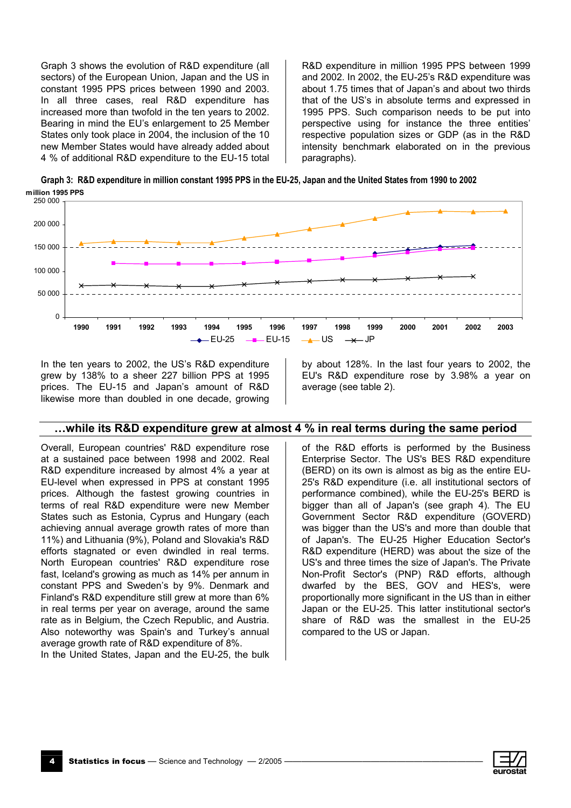<span id="page-3-0"></span>Graph 3 shows the evolution of R&D expenditure (all sectors) of the European Union, Japan and the US in constant 1995 PPS prices between 1990 and 2003. In all three cases, real R&D expenditure has increased more than twofold in the ten years to 2002. Bearing in mind the EU's enlargement to 25 Member States only took place in 2004, the inclusion of the 10 new Member States would have already added about 4 % of additional R&D expenditure to the EU-15 total

R&D expenditure in million 1995 PPS between 1999 and 2002. In 2002, the EU-25's R&D expenditure was about 1.75 times that of Japan's and about two thirds that of the US's in absolute terms and expressed in 1995 PPS. Such comparison needs to be put into perspective using for instance the three entities' respective population sizes or GDP (as in the R&D intensity benchmark elaborated on in the previous paragraphs).

Graph 3: R&D expenditure in million constant 1995 PPS in the EU-25, Japan and the United States from 1990 to 2002 million 1995 PPS



In the ten years to 2002, the US's R&D expenditure grew by 138% to a sheer 227 billion PPS at 1995 prices. The EU-15 and Japan's amount of R&D likewise more than doubled in one decade, growing by about 128%. In the last four years to 2002, the EU's R&D expenditure rose by 3.98% a year on average (see table 2).

### ...while its R&D expenditure grew at almost 4 % in real terms during the same period

Overall, European countries' R&D expenditure rose at a sustained pace between 1998 and 2002. Real R&D expenditure increased by almost 4% a year at EU-level when expressed in PPS at constant 1995 prices. Although the fastest growing countries in terms of real R&D expenditure were new Member States such as Estonia, Cyprus and Hungary (each achieving annual average growth rates of more than 11%) and Lithuania (9%), Poland and Slovakia's R&D efforts stagnated or even dwindled in real terms. North European countries' R&D expenditure rose fast, Iceland's growing as much as 14% per annum in constant PPS and Sweden's by 9%. Denmark and Finland's R&D expenditure still grew at more than 6% in real terms per year on average, around the same rate as in Belgium, the Czech Republic, and Austria. Also noteworthy was Spain's and Turkey's annual average growth rate of R&D expenditure of 8%.

In the United States, Japan and the EU-25, the bulk

of the R&D efforts is performed by the Business Enterprise Sector. The US's BES R&D expenditure (BERD) on its own is almost as big as the entire EU-25's R&D expenditure (i.e. all institutional sectors of performance combined), while the EU-25's BERD is bigger than all of Japan's (see graph 4). The EU Government Sector R&D expenditure (GOVERD) was bigger than the US's and more than double that of Japan's. The EU-25 Higher Education Sector's R&D expenditure (HERD) was about the size of the US's and three times the size of Japan's. The Private Non-Profit Sector's (PNP) R&D efforts, although dwarfed by the BES, GOV and HES's, were proportionally more significant in the US than in either Japan or the EU-25. This latter institutional sector's share of R&D was the smallest in the EU-25 compared to the US or Japan.

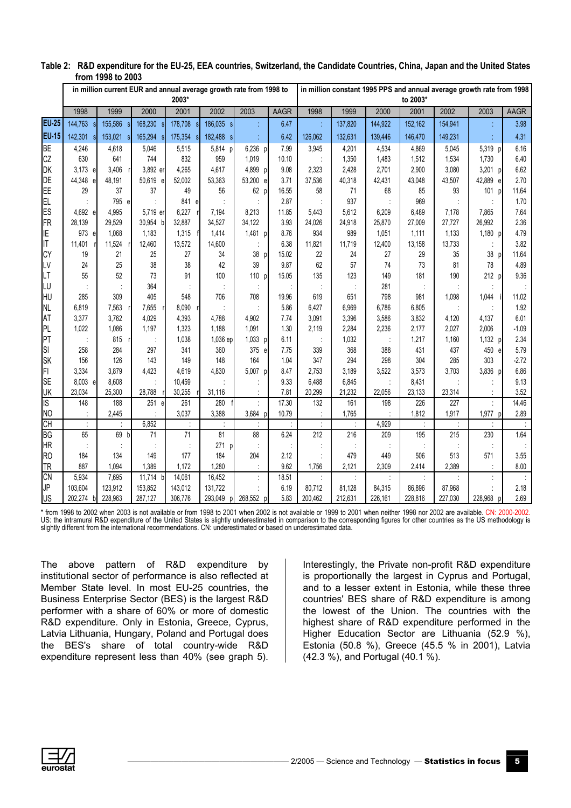|                 | טטעב טו וויטוו                                                              |            |            |                 |                         |              |              |            |                                                                                   |            |            |            |              |                 |  |  |
|-----------------|-----------------------------------------------------------------------------|------------|------------|-----------------|-------------------------|--------------|--------------|------------|-----------------------------------------------------------------------------------|------------|------------|------------|--------------|-----------------|--|--|
|                 | in million current EUR and annual average growth rate from 1998 to<br>2003* |            |            |                 |                         |              |              |            | in million constant 1995 PPS and annual average growth rate from 1998<br>to 2003* |            |            |            |              |                 |  |  |
|                 | 1998                                                                        | 1999       | 2000       | 2001            | 2002                    | 2003         | AAGR         | 1998       | 1999                                                                              | 2000       | 2001       | 2002       | 2003         | <b>AAGR</b>     |  |  |
| <b>EU-25</b>    | 144,763<br><sub>S</sub>                                                     | 155,586    | 168,230 s  | 178,708         | 186,035 s               |              | 6.47         |            | 137,820                                                                           | 144,922    | 152,162    | 154,941    |              | 3.98            |  |  |
| <b>EU-15</b>    | 142,301<br><b>sl</b>                                                        | 153,021    | 165,294 s  | 175,354         | 182,488<br><sub>S</sub> |              | 6.42         | 126,062    | 132,631                                                                           | 139,446    | 146,470    | 149,231    |              | 4.31            |  |  |
| <b>BE</b>       | 4,246                                                                       | 4,618      | 5,046      | 5,515           | 5,814                   | 6,236 p      | 7.99         | 3,945      | 4,201                                                                             | 4,534      | 4,869      | 5,045      | 5,319 p      | 6.16            |  |  |
| CZ              | 630                                                                         | 641        | 744        | 832             | 959                     | 1,019        | 10.10        |            | 1,350                                                                             | 1,483      | 1,512      | 1,534      | 1,730        | 6.40            |  |  |
| DK              | 3,173 e                                                                     | 3,406      | 3,892 er   | 4,265           | 4,617                   | 4,899 p      | 9.08         | 2,323      | 2,428                                                                             | 2,701      | 2,900      | 3,080      | 3,201 p      | 6.62            |  |  |
| <b>DE</b>       | 44,348 e                                                                    | 48,191     | 50,619 e   | 52,002          | 53,363                  | 53,200 e     | 3.71         | 37,536     | 40,318                                                                            | 42,431     | 43,048     | 43,507     | 42,889 e     | 2.70            |  |  |
| EE              | 29                                                                          | 37         | 37         | 49              | 56                      | 62 p         | 16.55        | 58         | 71                                                                                | 68         | 85         | 93         | 101<br>D     | 11.64           |  |  |
| EL.             |                                                                             | 795 e      |            | 841 el          |                         |              | 2.87         |            | 937                                                                               |            | 969        |            |              | 1.70            |  |  |
| ES              | 4,692 e                                                                     | 4,995      | 5,719 er   | 6,227           | 7,194                   | 8,213        | 11.85        | 5,443      | 5,612                                                                             | 6,209      | 6,489      | 7,178      | 7,865        | 7.64            |  |  |
| <b>FR</b>       | 28,139                                                                      | 29,529     | 30,954 b   | 32,887          | 34,527                  | 34,122       | 3.93         | 24,026     | 24,918                                                                            | 25,870     | 27,009     | 27,727     | 26,992       | 2.36            |  |  |
| IE              | 973 e                                                                       | 1,068      | 1,183      | 1,315           | 1,414                   | 1,481 p      | 8.76         | 934        | 989                                                                               | 1,051      | 1,111      | 1,133      | 1,180 p      | 4.79            |  |  |
| IT              | 11,401                                                                      | 11,524     | 12,460     | 13,572          | 14,600                  |              | 6.38         | 11,821     | 11,719                                                                            | 12,400     | 13,158     | 13,733     |              | 3.82            |  |  |
| <b>CY</b>       | 19                                                                          | 21         | 25         | 27              | 34                      | 38<br>D      | 15.02        | 22         | 24                                                                                | 27         | 29         | 35         | 38           | 11.64           |  |  |
| LV              | 24                                                                          | 25         | 38         | 38              | 42                      | 39           | 9.87         | 62         | 57                                                                                | 74         | 73         | 81         | 78           | 4.89            |  |  |
| LT              | 55                                                                          | 52         | 73         | 91              | 100                     | 110 p        | 15.05        | 135        | 123                                                                               | 149        | 181        | 190        | 212 p        | 9.36            |  |  |
| IL∪             |                                                                             |            | 364        |                 |                         |              |              |            |                                                                                   | 281        |            |            |              |                 |  |  |
| IH∪             | 285                                                                         | 309        | 405        | 548             | 706                     | 708          | 19.96        | 619        | 651                                                                               | 798        | 981        | 1,098      | 1,044        | 11.02           |  |  |
| <b>NL</b>       | 6,819                                                                       | 7,563      | 7,655      | 8,090           |                         |              | 5.86         | 6,427      | 6,969                                                                             | 6,786      | 6,805      |            |              | 1.92            |  |  |
| AT              | 3,377                                                                       | 3,762      | 4,029      | 4,393           | 4.788                   | 4,902        | 7.74         | 3,091      | 3,396                                                                             | 3,586      | 3,832      | 4,120      | 4,137        | 6.01            |  |  |
| PL              | 1,022                                                                       | 1,086      | 1,197      | 1,323           | 1,188                   | 1,091        | 1.30         | 2,119      | 2,284                                                                             | 2,236      | 2,177      | 2,027      | 2,006        | $-1.09$         |  |  |
| PT              |                                                                             | 815        |            | 1,038           | 1,036 ep                | 1,033 p      | 6.11         |            | 1,032                                                                             |            | 1,217      | 1,160      | 1,132 p      | 2.34            |  |  |
| SI<br><b>SK</b> | 258<br>156                                                                  | 284<br>126 | 297<br>143 | 341<br>149      | 360<br>148              | 375 e<br>164 | 7.75<br>1.04 | 339<br>347 | 368<br>294                                                                        | 388<br>298 | 431<br>304 | 437<br>285 | 450 e<br>303 | 5.79<br>$-2.72$ |  |  |
| FI              | 3,334                                                                       | 3,879      | 4,423      | 4,619           | 4,830                   | 5,007 p      | 8.47         | 2,753      | 3,189                                                                             | 3,522      | 3,573      | 3,703      | 3,836 p      | 6.86            |  |  |
| <b>SE</b>       | 8,003 e                                                                     | 8,608      |            | 10.459          |                         |              | 9.33         | 6.488      | 6,845                                                                             |            | 8,431      |            |              | 9.13            |  |  |
| UK              | 23,034                                                                      | 25,300     | 28,788     | 30,255          | 31,116                  |              | 7.81         | 20,299     | 21,232                                                                            | 22,056     | 23,133     | 23,314     |              | 3.52            |  |  |
| $\overline{S}$  | 148                                                                         | 188        | 251 e      | 261             | 280                     |              | 17.30        | 132        | 161                                                                               | 198        | 226        | 227        |              | 14.46           |  |  |
| N <sub>O</sub>  |                                                                             | 2,445      |            | 3,037           | 3,388                   | 3,684 p      | 10.79        |            | 1,765                                                                             |            | 1,812      | 1,917      | 1,977 p      | 2.89            |  |  |
| CH              |                                                                             |            | 6,852      |                 |                         |              |              |            |                                                                                   | 4,929      |            |            |              |                 |  |  |
| <b>BG</b>       | 65                                                                          | 69         | 71         | $\overline{71}$ | 81                      | 88           | 6.24         | 212        | 216                                                                               | 209        | 195        | 215        | 230          | 1.64            |  |  |
| <b>HR</b>       |                                                                             |            |            |                 | 271<br>p                |              |              |            |                                                                                   |            |            |            |              |                 |  |  |
| R <sub>O</sub>  | 184                                                                         | 134        | 149        | 177             | 184                     | 204          | 2.12         |            | 479                                                                               | 449        | 506        | 513        | 571          | 3.55            |  |  |
| <b>TR</b>       | 887                                                                         | 1.094      | 1,389      | 1,172           | 1.280                   |              | 9.62         | 1,756      | 2,121                                                                             | 2,309      | 2,414      | 2,389      |              | 8.00            |  |  |
| CN              | 5,934                                                                       | 7,695      | 11,714 b   | 14,061          | 16,452                  |              | 18.51        |            |                                                                                   |            |            |            |              |                 |  |  |
| JP              | 103,604                                                                     | 123,912    | 153,852    | 143,012         | 131,722                 |              | 6.19         | 80,712     | 81,128                                                                            | 84,315     | 86,896     | 87,968     |              | 2.18            |  |  |
| <b>US</b>       | 202,274 b                                                                   | 228,963    | 287,127    | 306,776         | 293,049<br>$\mathsf{D}$ | 268,552 p    | 5.83         | 200,462    | 212,631                                                                           | 226,161    | 228,816    | 227,030    | 228,968 p    | 2.69            |  |  |

### Table 2: R&D expenditure for the EU-25, EEA countries, Switzerland, the Candidate Countries, China, Japan and the United States from 1998 to 2003

from 1998 to 2002 when 2003 is not available or from 1998 to 2001 when 2002 is not available or 1999 to 2001 when neither 1998 nor 2002 are available. CN: 2000-2002. US: the intramural R&D expenditure of the United States is slightly underestimated in comparison to the corresponding figures for other countries as the US methodology is slightly different from the international recommendations. CN: underestimated or based on underestimated data.

The above pattern of R&D expenditure by institutional sector of performance is also reflected at Member State level. In most EU-25 countries, the Business Enterprise Sector (BES) is the largest R&D performer with a share of 60% or more of domestic R&D expenditure. Only in Estonia, Greece, Cyprus, Latvia Lithuania, Hungary, Poland and Portugal does the BES's share of total country-wide R&D expenditure represent less than 40% (see graph 5).

Interestingly, the Private non-profit R&D expenditure is proportionally the largest in Cyprus and Portugal, and to a lesser extent in Estonia, while these three countries' BES share of R&D expenditure is among the lowest of the Union. The countries with the highest share of R&D expenditure performed in the Higher Education Sector are Lithuania (52.9 %), Estonia (50.8 %), Greece (45.5 % in 2001), Latvia (42.3 %), and Portugal (40.1 %).

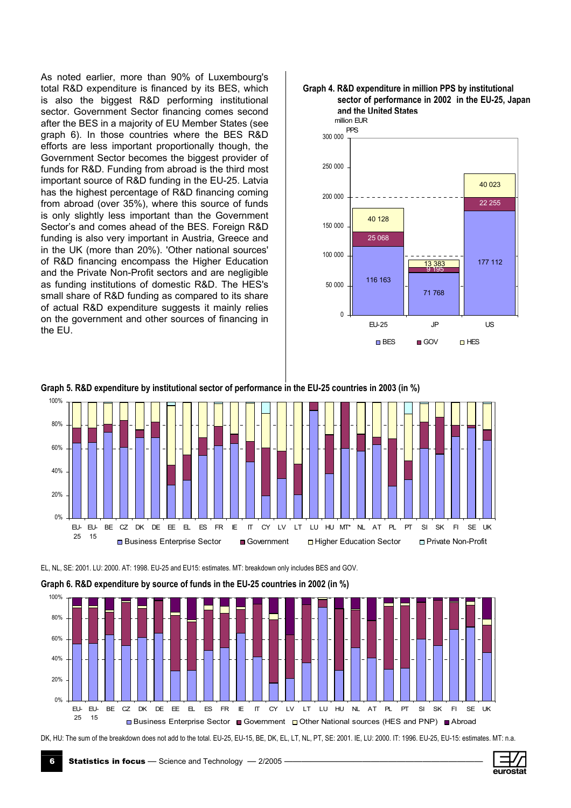As noted earlier, more than 90% of Luxembourg's total R&D expenditure is financed by its BES, which is also the biggest R&D performing institutional sector. Government Sector financing comes second after the BES in a majority of EU Member States (see graph 6). In those countries where the BES R&D efforts are less important proportionally though, the Government Sector becomes the biggest provider of funds for R&D. Funding from abroad is the third most important source of R&D funding in the EU-25. Latvia has the highest percentage of R&D financing coming from abroad (over 35%), where this source of funds is only slightly less important than the Government Sector's and comes ahead of the BES. Foreign R&D funding is also very important in Austria, Greece and in the UK (more than 20%). 'Other national sources' of R&D financing encompass the Higher Education and the Private Non-Profit sectors and are negligible as funding institutions of domestic R&D. The HES's small share of R&D funding as compared to its share of actual R&D expenditure suggests it mainly relies on the government and other sources of financing in the EU.



# Graph 5. R&D expenditure by institutional sector of performance in the EU-25 countries in 2003 (in %)



EL, NL, SE: 2001. LU: 2000. AT: 1998. EU-25 and EU15: estimates. MT: breakdown only includes BES and GOV.



DK, HU: The sum of the breakdown does not add to the total. EU-25, EU-15, BE, DK, EL, LT, NL, PT, SE: 2001. IE, LU: 2000. IT: 1996. EU-25, EU-15: estimates. MT: n.a.

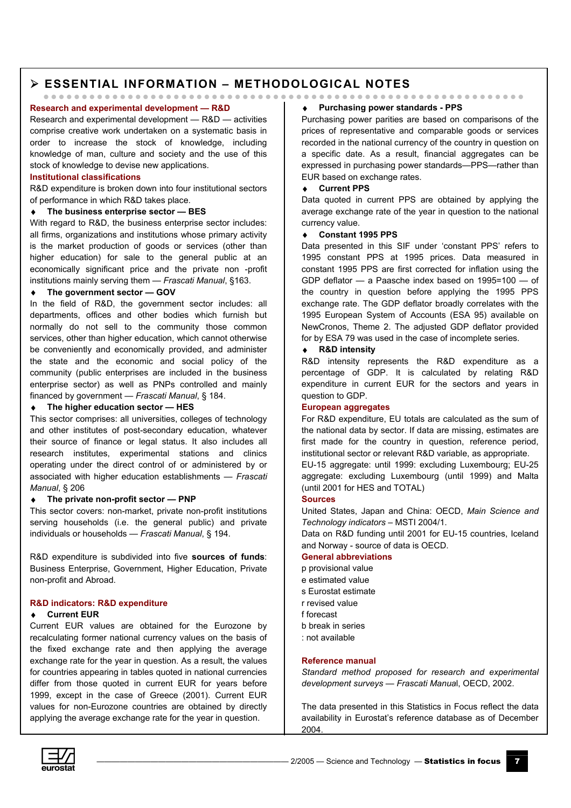# > ESSENTIAL INFORMATION - METHODOLOGICAL NOTES

## Research and experimental development - R&D

Research and experimental development - R&D - activities comprise creative work undertaken on a systematic basis in order to increase the stock of knowledge, including knowledge of man, culture and society and the use of this stock of knowledge to devise new applications.

#### **Institutional classifications**

R&D expenditure is broken down into four institutional sectors of performance in which R&D takes place.

#### $\bullet$ The business enterprise sector - BES

With regard to R&D, the business enterprise sector includes: all firms, organizations and institutions whose primary activity is the market production of goods or services (other than higher education) for sale to the general public at an economically significant price and the private non -profit institutions mainly serving them - Frascati Manual, §163.

#### The government sector - GOV  $\blacktriangle$  .

In the field of R&D, the government sector includes: all departments, offices and other bodies which furnish but normally do not sell to the community those common services, other than higher education, which cannot otherwise be conveniently and economically provided, and administer the state and the economic and social policy of the community (public enterprises are included in the business enterprise sector) as well as PNPs controlled and mainly financed by government - Frascati Manual, § 184.

#### The higher education sector - HES  $\bullet$

This sector comprises: all universities, colleges of technology and other institutes of post-secondary education, whatever their source of finance or legal status. It also includes all research institutes, experimental stations and clinics operating under the direct control of or administered by or associated with higher education establishments - Frascati Manual. § 206

#### The private non-profit sector - PNP  $\bullet$

This sector covers: non-market, private non-profit institutions serving households (i.e. the general public) and private individuals or households - Frascati Manual, § 194.

R&D expenditure is subdivided into five sources of funds: Business Enterprise, Government, Higher Education, Private non-profit and Abroad.

#### R&D indicators: R&D expenditure

### ♦ Current EUR

Current EUR values are obtained for the Eurozone by recalculating former national currency values on the basis of the fixed exchange rate and then applying the average exchange rate for the year in question. As a result, the values for countries appearing in tables quoted in national currencies differ from those quoted in current EUR for vears before 1999. except in the case of Greece (2001). Current EUR values for non-Eurozone countries are obtained by directly applying the average exchange rate for the year in question.

### ♦ Purchasing power standards - PPS

Purchasing power parities are based on comparisons of the prices of representative and comparable goods or services recorded in the national currency of the country in question on a specific date. As a result, financial aggregates can be expressed in purchasing power standards-PPS-rather than EUR based on exchange rates.

#### **Current PPS**  $\bullet$

Data quoted in current PPS are obtained by applying the average exchange rate of the year in question to the national currency value.

#### $\bullet$ **Constant 1995 PPS**

Data presented in this SIF under 'constant PPS' refers to 1995 constant PPS at 1995 prices. Data measured in constant 1995 PPS are first corrected for inflation using the GDP deflator  $-$  a Paasche index based on 1995=100  $-$  of the country in question before applying the 1995 PPS exchange rate. The GDP deflator broadly correlates with the 1995 European System of Accounts (ESA 95) available on NewCronos. Theme 2. The adiusted GDP deflator provided for by ESA 79 was used in the case of incomplete series.

#### ◆ R&D intensity

R&D intensity represents the R&D expenditure as a percentage of GDP. It is calculated by relating R&D expenditure in current EUR for the sectors and vears in question to GDP.

#### **European aggregates**

For R&D expenditure. EU totals are calculated as the sum of the national data by sector. If data are missing, estimates are first made for the country in question, reference period. institutional sector or relevant R&D variable, as appropriate.

EU-15 aggregate: until 1999: excluding Luxembourg; EU-25 aggregate: excluding Luxembourg (until 1999) and Malta (until 2001 for HES and TOTAL)

### **Sources**

United States, Japan and China: OECD, Main Science and Technology indicators - MSTI 2004/1.

Data on R&D funding until 2001 for FU-15 countries. Iceland and Norway - source of data is OECD.

#### **General abbreviations**

- p provisional value
- e estimated value
- s Eurostat estimate
- r revised value
- f forecast
- b break in series
- not available

#### Reference manual

Standard method proposed for research and experimental development surveys - Frascati Manual, OECD, 2002.

The data presented in this Statistics in Focus reflect the data availability in Eurostat's reference database as of December 2004.